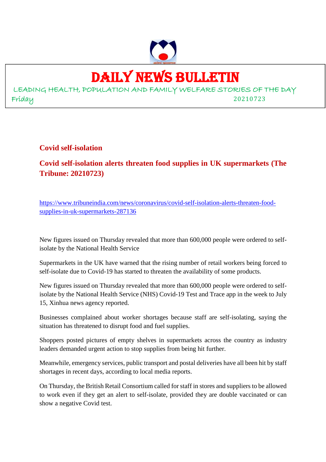

## DAILY NEWS BULLETIN

LEADING HEALTH, POPULATION AND FAMILY WELFARE STORIES OF THE DAY Friday 20210723

**Covid self-isolation**

**Covid self-isolation alerts threaten food supplies in UK supermarkets (The Tribune: 20210723)**

https://www.tribuneindia.com/news/coronavirus/covid-self-isolation-alerts-threaten-foodsupplies-in-uk-supermarkets-287136

New figures issued on Thursday revealed that more than 600,000 people were ordered to selfisolate by the National Health Service

Supermarkets in the UK have warned that the rising number of retail workers being forced to self-isolate due to Covid-19 has started to threaten the availability of some products.

New figures issued on Thursday revealed that more than 600,000 people were ordered to selfisolate by the National Health Service (NHS) Covid-19 Test and Trace app in the week to July 15, Xinhua news agency reported.

Businesses complained about worker shortages because staff are self-isolating, saying the situation has threatened to disrupt food and fuel supplies.

Shoppers posted pictures of empty shelves in supermarkets across the country as industry leaders demanded urgent action to stop supplies from being hit further.

Meanwhile, emergency services, public transport and postal deliveries have all been hit by staff shortages in recent days, according to local media reports.

On Thursday, the British Retail Consortium called for staff in stores and suppliers to be allowed to work even if they get an alert to self-isolate, provided they are double vaccinated or can show a negative Covid test.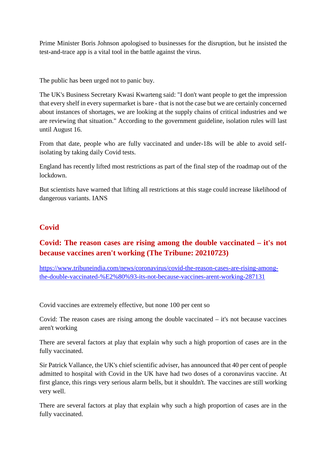Prime Minister Boris Johnson apologised to businesses for the disruption, but he insisted the test-and-trace app is a vital tool in the battle against the virus.

The public has been urged not to panic buy.

The UK's Business Secretary Kwasi Kwarteng said: "I don't want people to get the impression that every shelf in every supermarket is bare - that is not the case but we are certainly concerned about instances of shortages, we are looking at the supply chains of critical industries and we are reviewing that situation." According to the government guideline, isolation rules will last until August 16.

From that date, people who are fully vaccinated and under-18s will be able to avoid selfisolating by taking daily Covid tests.

England has recently lifted most restrictions as part of the final step of the roadmap out of the lockdown.

But scientists have warned that lifting all restrictions at this stage could increase likelihood of dangerous variants. IANS

#### **Covid**

#### **Covid: The reason cases are rising among the double vaccinated – it's not because vaccines aren't working (The Tribune: 20210723)**

https://www.tribuneindia.com/news/coronavirus/covid-the-reason-cases-are-rising-amongthe-double-vaccinated-%E2%80%93-its-not-because-vaccines-arent-working-287131

Covid vaccines are extremely effective, but none 100 per cent so

Covid: The reason cases are rising among the double vaccinated – it's not because vaccines aren't working

There are several factors at play that explain why such a high proportion of cases are in the fully vaccinated.

Sir Patrick Vallance, the UK's chief scientific adviser, has announced that 40 per cent of people admitted to hospital with Covid in the UK have had two doses of a coronavirus vaccine. At first glance, this rings very serious alarm bells, but it shouldn't. The vaccines are still working very well.

There are several factors at play that explain why such a high proportion of cases are in the fully vaccinated.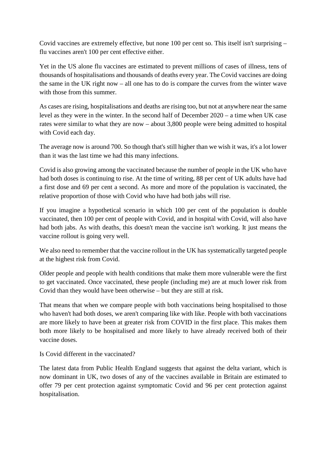Covid vaccines are extremely effective, but none 100 per cent so. This itself isn't surprising – flu vaccines aren't 100 per cent effective either.

Yet in the US alone flu vaccines are estimated to prevent millions of cases of illness, tens of thousands of hospitalisations and thousands of deaths every year. The Covid vaccines are doing the same in the UK right now – all one has to do is compare the curves from the winter wave with those from this summer.

As cases are rising, hospitalisations and deaths are rising too, but not at anywhere near the same level as they were in the winter. In the second half of December 2020 – a time when UK case rates were similar to what they are now – about 3,800 people were being admitted to hospital with Covid each day.

The average now is around 700. So though that's still higher than we wish it was, it's a lot lower than it was the last time we had this many infections.

Covid is also growing among the vaccinated because the number of people in the UK who have had both doses is continuing to rise. At the time of writing, 88 per cent of UK adults have had a first dose and 69 per cent a second. As more and more of the population is vaccinated, the relative proportion of those with Covid who have had both jabs will rise.

If you imagine a hypothetical scenario in which 100 per cent of the population is double vaccinated, then 100 per cent of people with Covid, and in hospital with Covid, will also have had both jabs. As with deaths, this doesn't mean the vaccine isn't working. It just means the vaccine rollout is going very well.

We also need to remember that the vaccine rollout in the UK has systematically targeted people at the highest risk from Covid.

Older people and people with health conditions that make them more vulnerable were the first to get vaccinated. Once vaccinated, these people (including me) are at much lower risk from Covid than they would have been otherwise – but they are still at risk.

That means that when we compare people with both vaccinations being hospitalised to those who haven't had both doses, we aren't comparing like with like. People with both vaccinations are more likely to have been at greater risk from COVID in the first place. This makes them both more likely to be hospitalised and more likely to have already received both of their vaccine doses.

Is Covid different in the vaccinated?

The latest data from Public Health England suggests that against the delta variant, which is now dominant in UK, two doses of any of the vaccines available in Britain are estimated to offer 79 per cent protection against symptomatic Covid and 96 per cent protection against hospitalisation.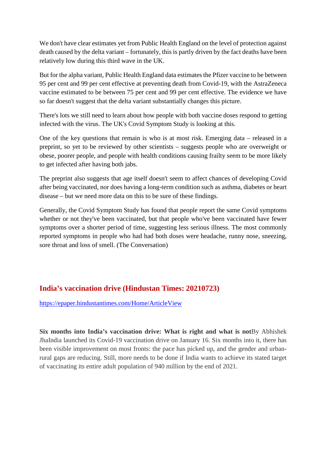We don't have clear estimates yet from Public Health England on the level of protection against death caused by the delta variant – fortunately, this is partly driven by the fact deaths have been relatively low during this third wave in the UK.

But for the alpha variant, Public Health England data estimates the Pfizer vaccine to be between 95 per cent and 99 per cent effective at preventing death from Covid-19, with the AstraZeneca vaccine estimated to be between 75 per cent and 99 per cent effective. The evidence we have so far doesn't suggest that the delta variant substantially changes this picture.

There's lots we still need to learn about how people with both vaccine doses respond to getting infected with the virus. The UK's Covid Symptom Study is looking at this.

One of the key questions that remain is who is at most risk. Emerging data – released in a preprint, so yet to be reviewed by other scientists – suggests people who are overweight or obese, poorer people, and people with health conditions causing frailty seem to be more likely to get infected after having both jabs.

The preprint also suggests that age itself doesn't seem to affect chances of developing Covid after being vaccinated, nor does having a long-term condition such as asthma, diabetes or heart disease – but we need more data on this to be sure of these findings.

Generally, the Covid Symptom Study has found that people report the same Covid symptoms whether or not they've been vaccinated, but that people who've been vaccinated have fewer symptoms over a shorter period of time, suggesting less serious illness. The most commonly reported symptoms in people who had had both doses were headache, runny nose, sneezing, sore throat and loss of smell. (The Conversation)

#### **India's vaccination drive (Hindustan Times: 20210723)**

https://epaper.hindustantimes.com/Home/ArticleView

**Six months into India's vaccination drive: What is right and what is not**By Abhishek JhaIndia launched its Covid-19 vaccination drive on January 16. Six months into it, there has been visible improvement on most fronts: the pace has picked up, and the gender and urbanrural gaps are reducing. Still, more needs to be done if India wants to achieve its stated target of vaccinating its entire adult population of 940 million by the end of 2021.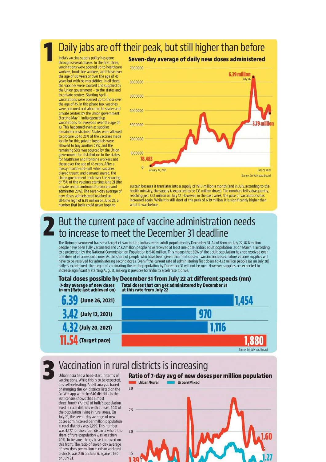## Daily jabs are off their peak, but still higher than before

India's vaccine supply policy has gone through several phases. In the first three, vaccinations were opened up to healthcare workers, front-line workers, and those over the age of 60 years or over the age of 45 years but with co-morbidities. In all three. the vaccines were sourced and supplied by the Union government - to the states and to private centres. Starting April 1 vaccinations were opened up to those over<br>the age of 45. In this phase too, vaccines were procured and allocated to states and<br>private centres by the Union government. Starting May 1, India opened up vaccinations for everyone over the age of 18. This happened even as supplies remained constrained. States were allowed to procure up to 25% of the vaccines made locally for this; private hospitals were allowed to buy another 25%; and the<br>remaining 50% was sourced by the Union government for distribution to the states for healthcare and frontline workers and those over the age of 45 years. After a messy month-and-half when supplies played truant, and demand soared, the Union government took over the sourcing of 75% of the vaccines starting June 21 (the private sector continued to procure and administer 25%). The seven-day average of new doses administered reached an all-time high of 6.39 million on June 26, a number that India could never hope to



sustain because it translates into a supply of 191.7 million a month (and in July, according to the health ministry, the supply is expected to be 135 million doses). The numbers fell subsequently, reaching just 3.42 million on July 12. However, in the past week, the pace of vaccinations has increased again. While it is still short of the peak of 6.39 million, it is significantly higher than what it was before.

## But the current pace of vaccine administration needs to increase to meet the December 31 deadline

The Union government has set a target of vaccinating India's entire adult population by December 31. As of 6pm on July 22, 87.8 million people have been fully vaccinated and 242.2 million people have received at least one dose. India's adult population, as on March 1, according to a projection by the National Commission on Population is 940 million. This means that 65% of the adult population has not received even one dose of vaccines until now. As the share of people who have been given their first dose of vaccine increases, future vaccine supplies will have to be reserved for administering second doses. Even if the current rate of administering first doses to 4.32 million people (as on July 20) daily is maintained, the target of vaccinating the entire population by December 31 will not be met. However, supplies are expected to increase significantly starting August, making it possible for India to accelerate it d



## Vaccination in rural districts is increasing

Urban India had a head-start in terms of vaccinations. While this is to be expected, it is self-defeating. An HT analysis based on merging the 754 districts listed on the Co-Win app with the 640 districts in the 2011 census shows that almost three-fourth (72.8%) of India's population lived in rural districts with at least 60% of the population living in rural areas. On July 21, the seven-day average of new doses administered per million population in rural districts was 2,799. This number was 4,477 for the urban districts where the share of rural population was less than 40%. To be sure, things have improved on this front. The ratio of seven-day average of new does per million in urban and rural districts was 2.76 on June 6, against 1.60 on July 21.

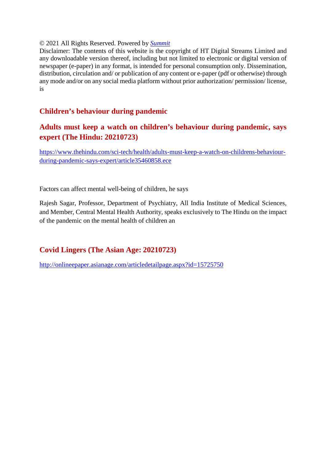#### © 2021 All Rights Reserved. Powered by *Summit*

Disclaimer: The contents of this website is the copyright of HT Digital Streams Limited and any downloadable version thereof, including but not limited to electronic or digital version of newspaper (e-paper) in any format, is intended for personal consumption only. Dissemination, distribution, circulation and/ or publication of any content or e-paper (pdf or otherwise) through any mode and/or on any social media platform without prior authorization/ permission/ license, is

#### **Children's behaviour during pandemic**

#### **Adults must keep a watch on children's behaviour during pandemic, says expert (The Hindu: 20210723)**

https://www.thehindu.com/sci-tech/health/adults-must-keep-a-watch-on-childrens-behaviourduring-pandemic-says-expert/article35460858.ece

Factors can affect mental well-being of children, he says

Rajesh Sagar, Professor, Department of Psychiatry, All India Institute of Medical Sciences, and Member, Central Mental Health Authority, speaks exclusively to The Hindu on the impact of the pandemic on the mental health of children an

#### **Covid Lingers (The Asian Age: 20210723)**

http://onlineepaper.asianage.com/articledetailpage.aspx?id=15725750